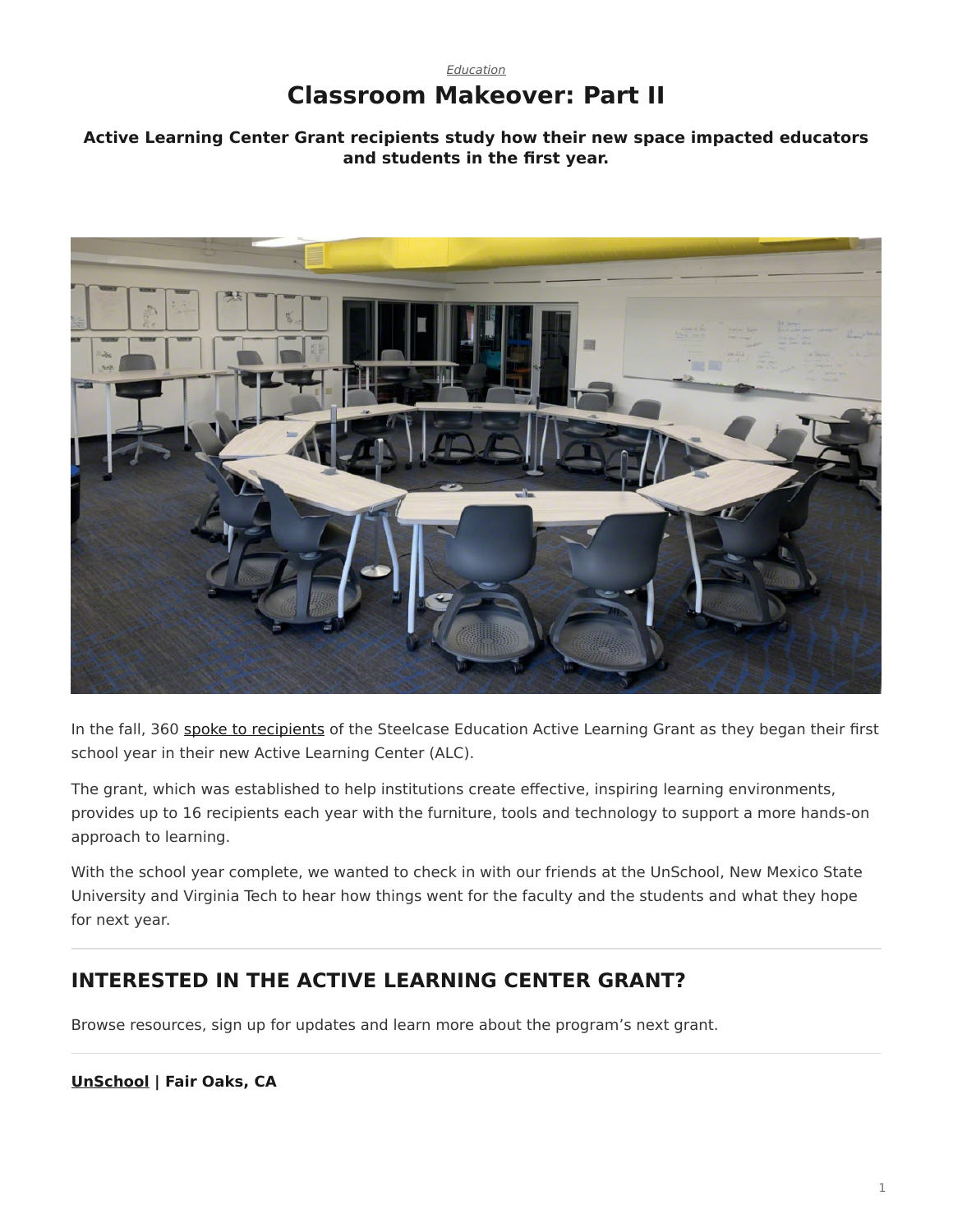## *[Education](https://www.steelcase.com/research/topics/education/)* **Classroom Makeover: Part II**

### <span id="page-0-0"></span>**Active Learning Center Grant recipients study how their new space impacted educators and students in the first year.**



In the fall, 360 [spoke to recipients](https://www.steelcase.com/research/articles/topics/education/classroom-revamp/) of the Steelcase Education Active Learning Grant as they began their first school year in their new Active Learning Center (ALC).

The grant, which was established to help institutions create effective, inspiring learning environments, provides up to 16 recipients each year with the furniture, tools and technology to support a more hands-on approach to learning.

With the school year complete, we wanted to check in with our friends at the UnSchool, New Mexico State University and Virginia Tech to hear how things went for the faculty and the students and what they hope for next year.

# **INTERESTED IN THE ACTIVE LEARNING CENTER GRANT?**

Browse resources, sign up for updates and learn more about the program's next grant.

#### **[UnSchool](https://www.sanjuan.edu/unschool) | Fair Oaks, CA**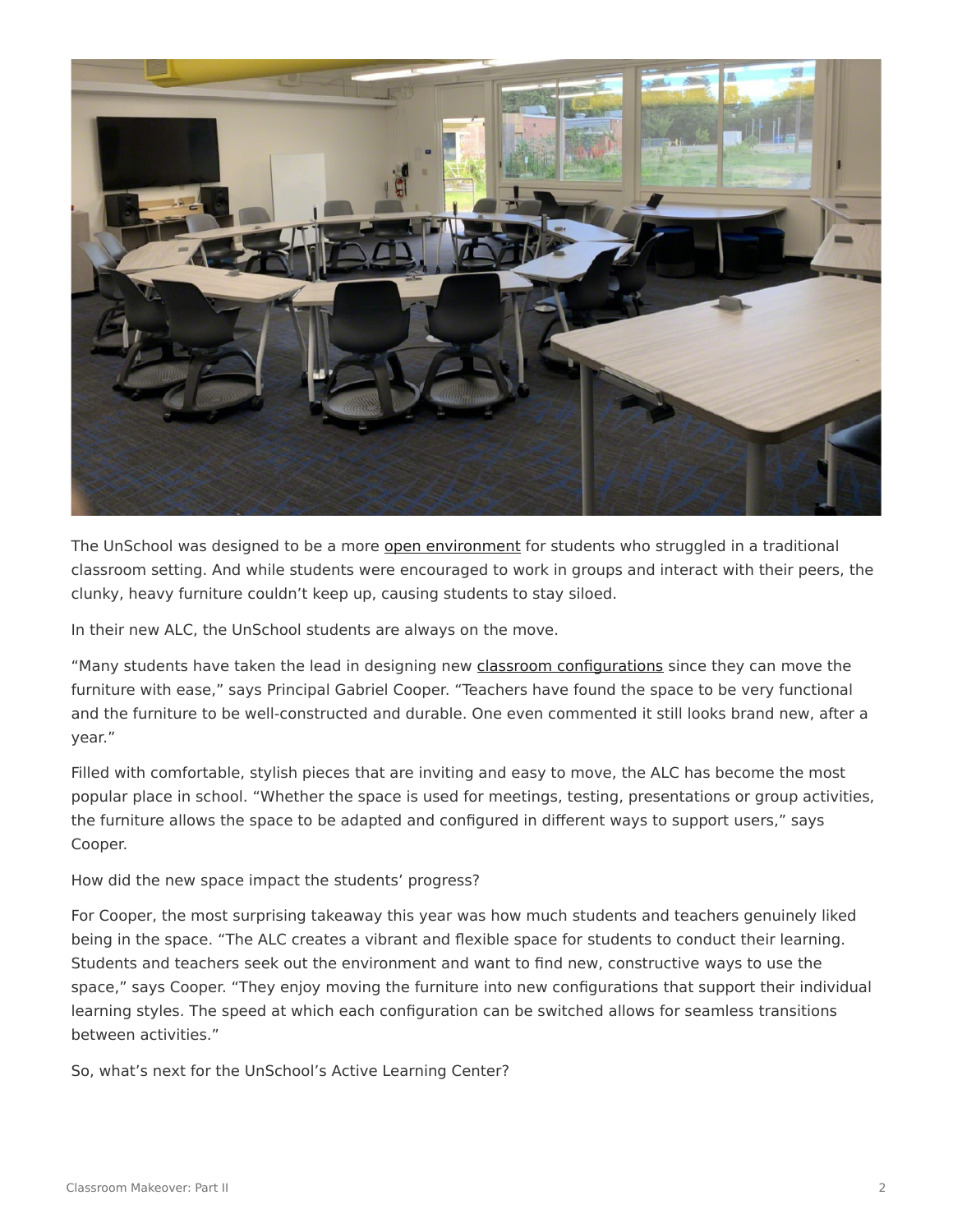

The UnSchool was designed to be a more [open environment](https://www.steelcase.com/spaces-inspiration/active-learning-spaces-in-between-spaces/) for students who struggled in a traditional classroom setting. And while students were encouraged to work in groups and interact with their peers, the clunky, heavy furniture couldn't keep up, causing students to stay siloed.

In their new ALC, the UnSchool students are always on the move.

"Many students have taken the lead in designing new [classroom configurations](https://www.steelcase.com/spaces-inspiration/active-learning-spaces-classrooms/) since they can move the furniture with ease," says Principal Gabriel Cooper. "Teachers have found the space to be very functional and the furniture to be well-constructed and durable. One even commented it still looks brand new, after a year."

Filled with comfortable, stylish pieces that are inviting and easy to move, the ALC has become the most popular place in school. "Whether the space is used for meetings, testing, presentations or group activities, the furniture allows the space to be adapted and configured in different ways to support users," says Cooper.

How did the new space impact the students' progress?

For Cooper, the most surprising takeaway this year was how much students and teachers genuinely liked being in the space. "The ALC creates a vibrant and flexible space for students to conduct their learning. Students and teachers seek out the environment and want to find new, constructive ways to use the space," says Cooper. "They enjoy moving the furniture into new configurations that support their individual learning styles. The speed at which each configuration can be switched allows for seamless transitions between activities."

So, what's next for the UnSchool's Active Learning Center?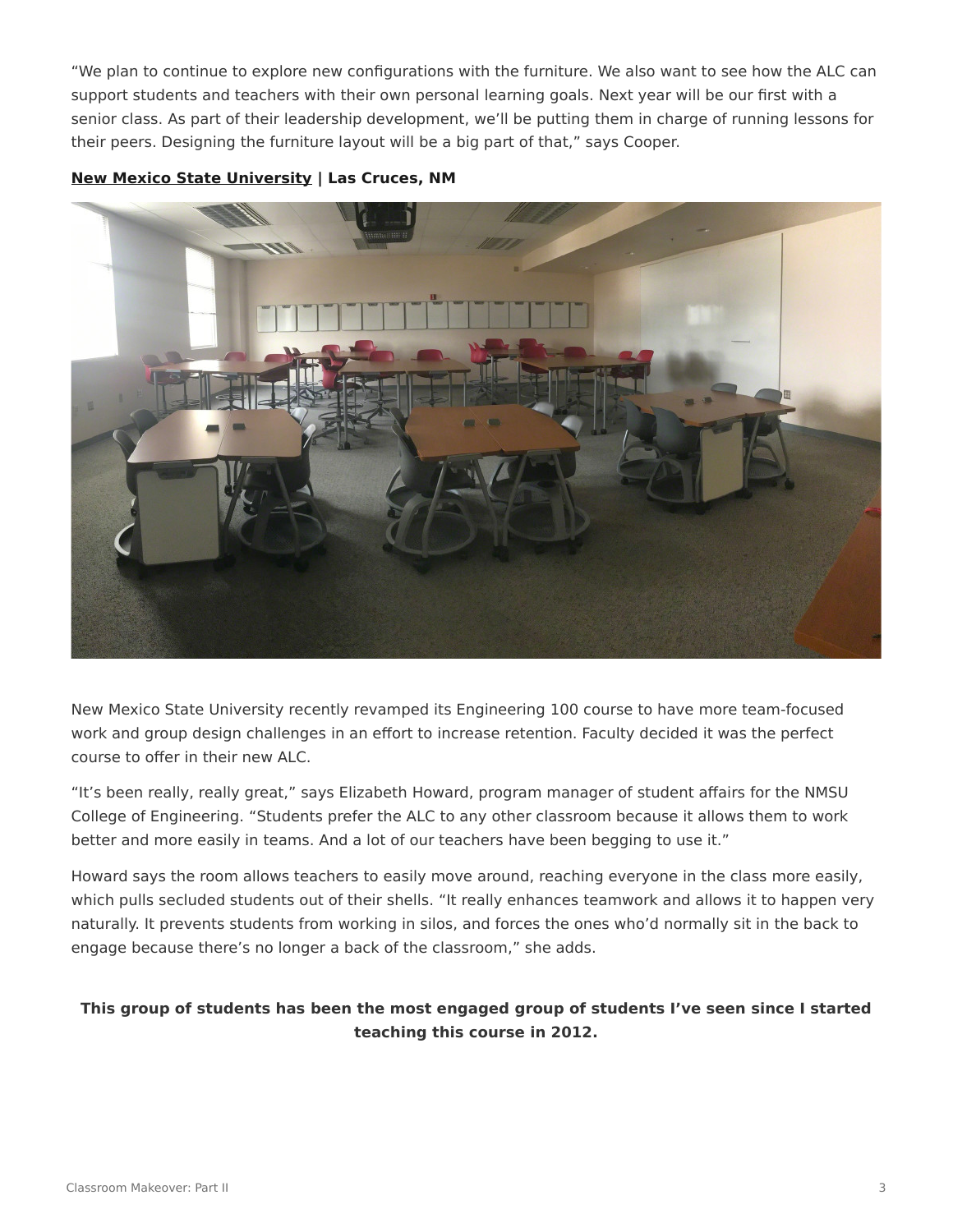"We plan to continue to explore new configurations with the furniture. We also want to see how the ALC can support students and teachers with their own personal learning goals. Next year will be our first with a senior class. As part of their leadership development, we'll be putting them in charge of running lessons for their peers. Designing the furniture layout will be a big part of that," says Cooper.

**[New Mexico State University](https://nmsu.edu/) | Las Cruces, NM**



New Mexico State University recently revamped its Engineering 100 course to have more team-focused work and group design challenges in an effort to increase retention. Faculty decided it was the perfect course to offer in their new ALC.

"It's been really, really great," says Elizabeth Howard, program manager of student affairs for the NMSU College of Engineering. "Students prefer the ALC to any other classroom because it allows them to work better and more easily in teams. And a lot of our teachers have been begging to use it."

Howard says the room allows teachers to easily move around, reaching everyone in the class more easily, which pulls secluded students out of their shells. "It really enhances teamwork and allows it to happen very naturally. It prevents students from working in silos, and forces the ones who'd normally sit in the back to engage because there's no longer a back of the classroom," she adds.

### **This group of students has been the most engaged group of students I've seen since I started teaching this course in 2012.**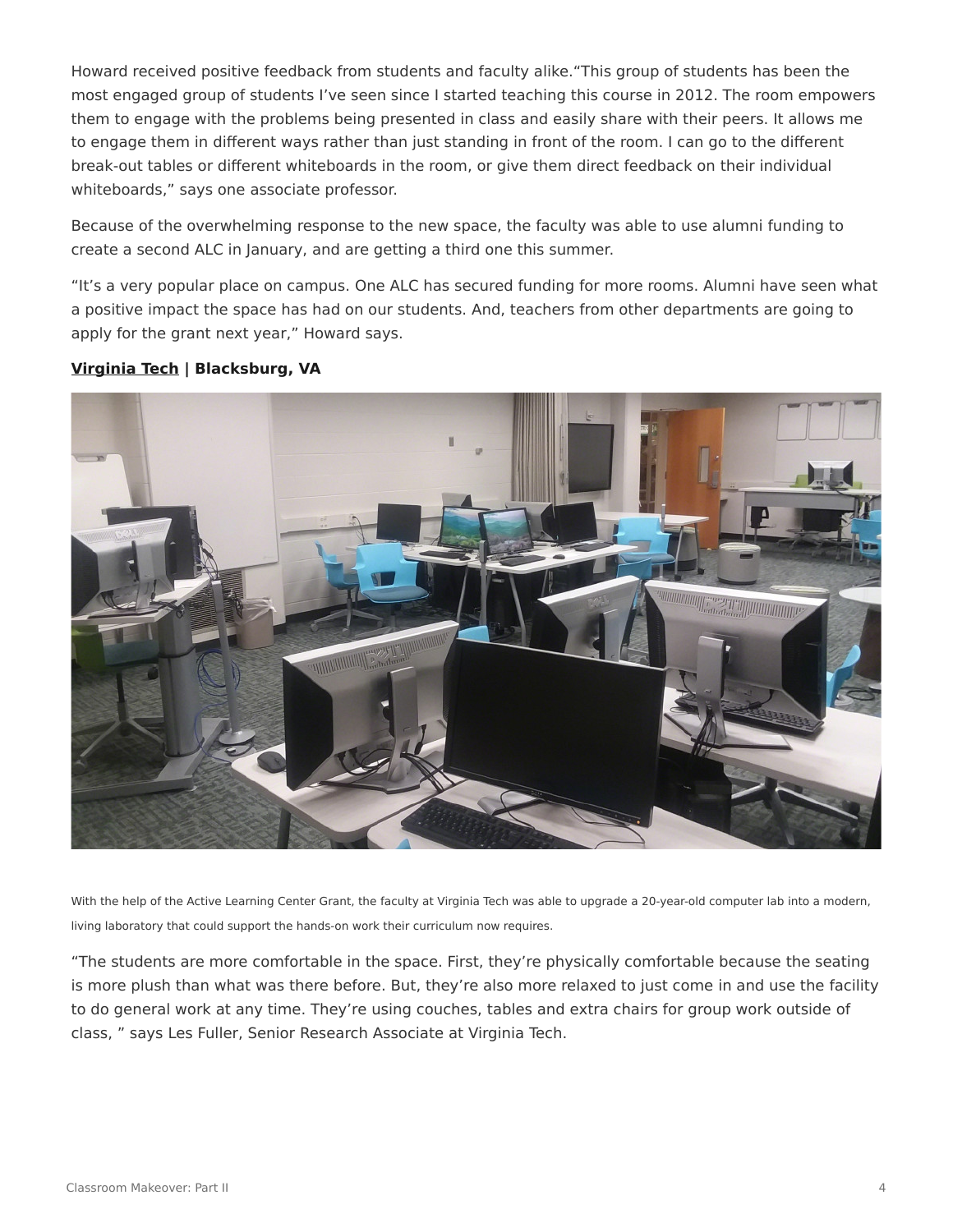Howard received positive feedback from students and faculty alike."This group of students has been the most engaged group of students I've seen since I started teaching this course in 2012. The room empowers them to engage with the problems being presented in class and easily share with their peers. It allows me to engage them in different ways rather than just standing in front of the room. I can go to the different break-out tables or different whiteboards in the room, or give them direct feedback on their individual whiteboards," says one associate professor.

Because of the overwhelming response to the new space, the faculty was able to use alumni funding to create a second ALC in January, and are getting a third one this summer.

"It's a very popular place on campus. One ALC has secured funding for more rooms. Alumni have seen what a positive impact the space has had on our students. And, teachers from other departments are going to apply for the grant next year," Howard says.

#### **[Virginia Tech](https://vt.edu/) | Blacksburg, VA**



With the help of the Active Learning Center Grant, the faculty at Virginia Tech was able to upgrade a 20-year-old computer lab into a modern, living laboratory that could support the hands-on work their curriculum now requires.

"The students are more comfortable in the space. First, they're physically comfortable because the seating is more plush than what was there before. But, they're also more relaxed to just come in and use the facility to do general work at any time. They're using couches, tables and extra chairs for group work outside of class, " says Les Fuller, Senior Research Associate at Virginia Tech.